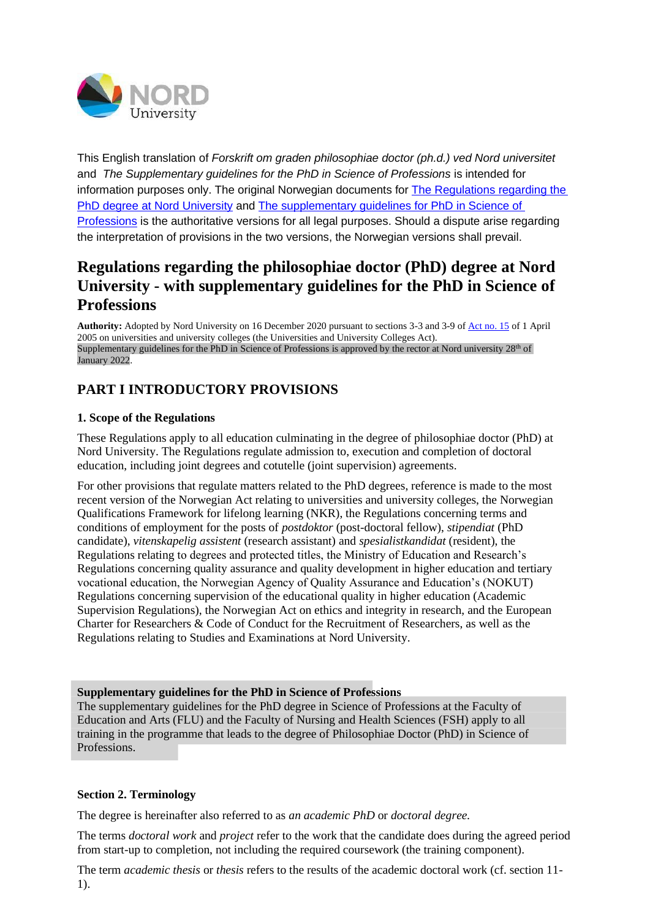

This English translation of *Forskrift om graden philosophiae doctor (ph.d.) ved Nord universitet*  and *The Supplementary guidelines for the PhD in Science of Professions* is intended for information purposes only. The original Norwegian documents for [The Regulations regarding the](https://lovdata.no/dokument/SF/forskrift/2020-12-16-3215)  [PhD degree at Nord University](https://lovdata.no/dokument/SF/forskrift/2020-12-16-3215) and [The supplementary guidelines for PhD in Science of](https://www.nord.no/no/studier/Documents/Utfyllende_retningslinjer_for_ph.d._i_profesjonsvitenskap-tilknyttet_Forskrift_for_ph.d._ved_Nord_universitet.pdf)  [Professions](https://www.nord.no/no/studier/Documents/Utfyllende_retningslinjer_for_ph.d._i_profesjonsvitenskap-tilknyttet_Forskrift_for_ph.d._ved_Nord_universitet.pdf) is the authoritative versions for all legal purposes. Should a dispute arise regarding the interpretation of provisions in the two versions, the Norwegian versions shall prevail.

# **Regulations regarding the philosophiae doctor (PhD) degree at Nord University - with supplementary guidelines for the PhD in Science of Professions**

**Authority:** Adopted by Nord University on 16 December 2020 pursuant to sections 3-3 and 3-9 o[f Act no. 15](https://lovdata.no/lov/2005-04-01-15) of 1 April 2005 on universities and university colleges (the Universities and University Colleges Act). Supplementary guidelines for the PhD in Science of Professions is approved by the rector at Nord university  $28<sup>th</sup>$  of January 2022.

# **PART I INTRODUCTORY PROVISIONS**

# **1. Scope of the Regulations**

These Regulations apply to all education culminating in the degree of philosophiae doctor (PhD) at Nord University. The Regulations regulate admission to, execution and completion of doctoral education, including joint degrees and cotutelle (joint supervision) agreements.

For other provisions that regulate matters related to the PhD degrees, reference is made to the most recent version of the Norwegian Act relating to universities and university colleges, the Norwegian Qualifications Framework for lifelong learning (NKR), the Regulations concerning terms and conditions of employment for the posts of *postdoktor* (post-doctoral fellow), *stipendiat* (PhD candidate), *vitenskapelig assistent* (research assistant) and *spesialistkandidat* (resident), the Regulations relating to degrees and protected titles, the Ministry of Education and Research's Regulations concerning quality assurance and quality development in higher education and tertiary vocational education, the Norwegian Agency of Quality Assurance and Education's (NOKUT) Regulations concerning supervision of the educational quality in higher education (Academic Supervision Regulations), the Norwegian Act on ethics and integrity in research, and the European Charter for Researchers & Code of Conduct for the Recruitment of Researchers, as well as the Regulations relating to Studies and Examinations at Nord University.

# **Supplementary guidelines for the PhD in Science of Professions**

The supplementary guidelines for the PhD degree in Science of Professions at the Faculty of Education and Arts (FLU) and the Faculty of Nursing and Health Sciences (FSH) apply to all training in the programme that leads to the degree of Philosophiae Doctor (PhD) in Science of Professions.

# **Section 2. Terminology**

The degree is hereinafter also referred to as *an academic PhD* or *doctoral degree.*

The terms *doctoral work* and *project* refer to the work that the candidate does during the agreed period from start-up to completion, not including the required coursework (the training component).

The term *academic thesis* or *thesis* refers to the results of the academic doctoral work (cf. section 11- 1).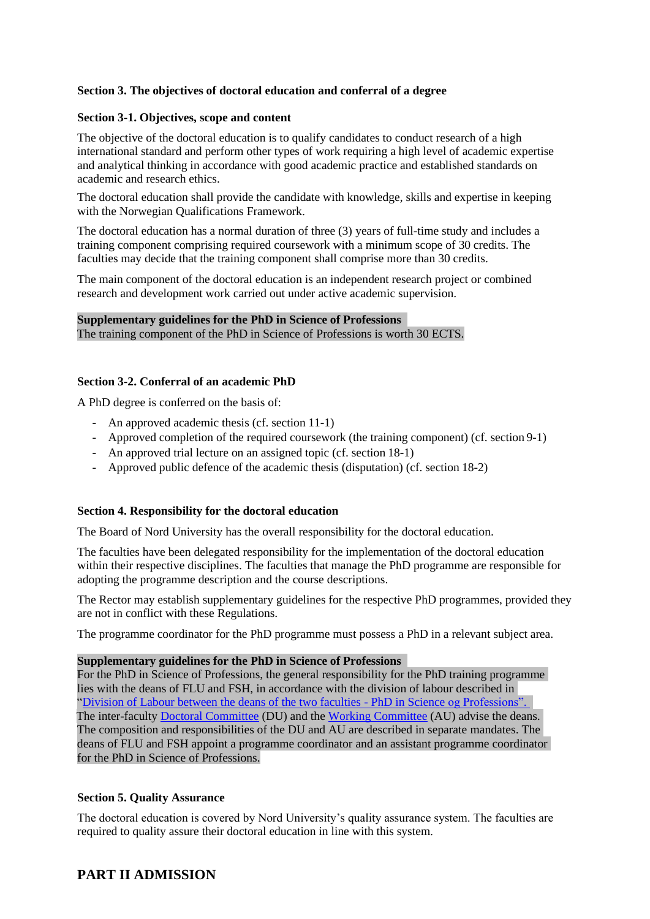# **Section 3. The objectives of doctoral education and conferral of a degree**

# **Section 3-1. Objectives, scope and content**

The objective of the doctoral education is to qualify candidates to conduct research of a high international standard and perform other types of work requiring a high level of academic expertise and analytical thinking in accordance with good academic practice and established standards on academic and research ethics.

The doctoral education shall provide the candidate with knowledge, skills and expertise in keeping with the Norwegian Qualifications Framework.

The doctoral education has a normal duration of three (3) years of full-time study and includes a training component comprising required coursework with a minimum scope of 30 credits. The faculties may decide that the training component shall comprise more than 30 credits.

The main component of the doctoral education is an independent research project or combined research and development work carried out under active academic supervision.

# **Supplementary guidelines for the PhD in Science of Professions**

The training component of the PhD in Science of Professions is worth 30 ECTS.

# **Section 3-2. Conferral of an academic PhD**

A PhD degree is conferred on the basis of:

- An approved academic thesis (cf. section 11-1)
- Approved completion of the required coursework (the training component) (cf. section 9-1)
- An approved trial lecture on an assigned topic (cf. section 18-1)
- Approved public defence of the academic thesis (disputation) (cf. section 18-2)

# **Section 4. Responsibility for the doctoral education**

The Board of Nord University has the overall responsibility for the doctoral education.

The faculties have been delegated responsibility for the implementation of the doctoral education within their respective disciplines. The faculties that manage the PhD programme are responsible for adopting the programme description and the course descriptions.

The Rector may establish supplementary guidelines for the respective PhD programmes, provided they are not in conflict with these Regulations.

The programme coordinator for the PhD programme must possess a PhD in a relevant subject area.

# **Supplementary guidelines for the PhD in Science of Professions**

For the PhD in Science of Professions, the general responsibility for the PhD training programme lies with the deans of FLU and FSH, in accordance with the division of labour described in ["Division of Labour between the deans of the two faculties -](https://www.nord.no/no/studier/Documents/Division_of_labour_betw) PhD in Science og Professions". The inter-faculty [Doctoral Committee](https://www.nord.no/no/studier/Documents/Mandate_for_the_Doctoral_Committee-PhD_degree_in_Science_of_Professions.pdf) (DU) and th[e Working Committee](https://www.nord.no/no/studier/Documents/Mandate_for_the_Working_Committee-PhD_in_Science_of_Professions.pdf) (AU) advise the deans. The composition and responsibilities of the DU and AU are described in separate [mandates](https://www.nord.no/no/studier/Documents/Mandat_for_Doktorgradsutvalget_(DU)_og_Arbeidsutvalget_(AU).pdf). The deans of FLU and FSH appoint a programme coordinator and an assistant programme coordinator for the PhD in Science of Professions.

# **Section 5. Quality Assurance**

The doctoral education is covered by Nord University's quality assurance system. The faculties are required to quality assure their doctoral education in line with this system.

# **PART II ADMISSION**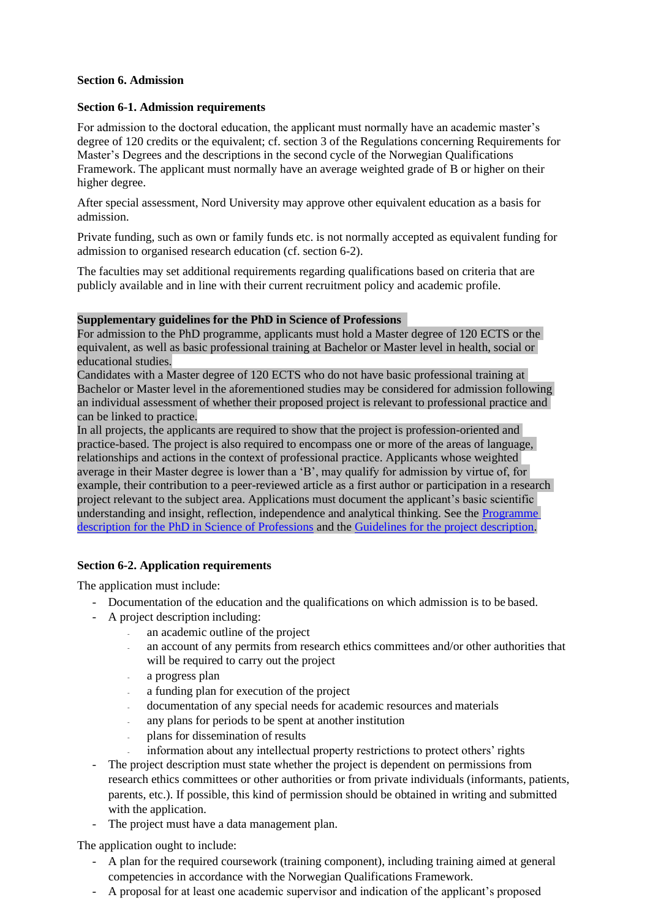# **Section 6. Admission**

# **Section 6-1. Admission requirements**

For admission to the doctoral education, the applicant must normally have an academic master's degree of 120 credits or the equivalent; cf. section 3 of the Regulations concerning Requirements for Master's Degrees and the descriptions in the second cycle of the Norwegian Qualifications Framework. The applicant must normally have an average weighted grade of B or higher on their higher degree.

After special assessment, Nord University may approve other equivalent education as a basis for admission.

Private funding, such as own or family funds etc. is not normally accepted as equivalent funding for admission to organised research education (cf. section 6-2).

The faculties may set additional requirements regarding qualifications based on criteria that are publicly available and in line with their current recruitment policy and academic profile.

# **Supplementary guidelines for the PhD in Science of Professions**

For admission to the PhD programme, applicants must hold a Master degree of 120 ECTS or the equivalent, as well as basic professional training at Bachelor or Master level in health, social or educational studies.

Candidates with a Master degree of 120 ECTS who do not have basic professional training at Bachelor or Master level in the aforementioned studies may be considered for admission following an individual assessment of whether their proposed project is relevant to professional practice and can be linked to practice.

In all projects, the applicants are required to show that the project is profession-oriented and practice-based. The project is also required to encompass one or more of the areas of language, relationships and actions in the context of professional practice. Applicants whose weighted average in their Master degree is lower than a 'B', may qualify for admission by virtue of, for example, their contribution to a peer-reviewed article as a first author or participation in a research project relevant to the subject area. Applications must document the applicant's basic scientific understanding and insight, reflection, independence and analytical thinking. See the [Programme](https://www.nord.no/no/studier/Documents/Programme_description-PhD_in_Science_of_Professions-DRGPR.pdf)  [description for the PhD in Science of Professions](https://www.nord.no/no/studier/Documents/Programme_description-PhD_in_Science_of_Professions-DRGPR.pdf) and the [Guidelines for the project description](https://www.nord.no/no/studier/Documents/Guidelines_for_the_project_description-application_for_admission.pdf)[.](https://www.nord.no/no/studier/Documents/Retningslinjer_for_prosjektbeskrivelse.pdf) 

# **Section 6-2. Application requirements**

The application must include:

- Documentation of the education and the qualifications on which admission is to be based.
- A project description including:
	- an academic outline of the project
	- an account of any permits from research ethics committees and/or other authorities that will be required to carry out the project
	- a progress plan
	- a funding plan for execution of the project
	- documentation of any special needs for academic resources and materials
	- any plans for periods to be spent at another institution
	- plans for dissemination of results
	- information about any intellectual property restrictions to protect others' rights
- The project description must state whether the project is dependent on permissions from research ethics committees or other authorities or from private individuals (informants, patients, parents, etc.). If possible, this kind of permission should be obtained in writing and submitted with the application.
- The project must have a data management plan.

The application ought to include:

- A plan for the required coursework (training component), including training aimed at general competencies in accordance with the Norwegian Qualifications Framework.
- A proposal for at least one academic supervisor and indication of the applicant's proposed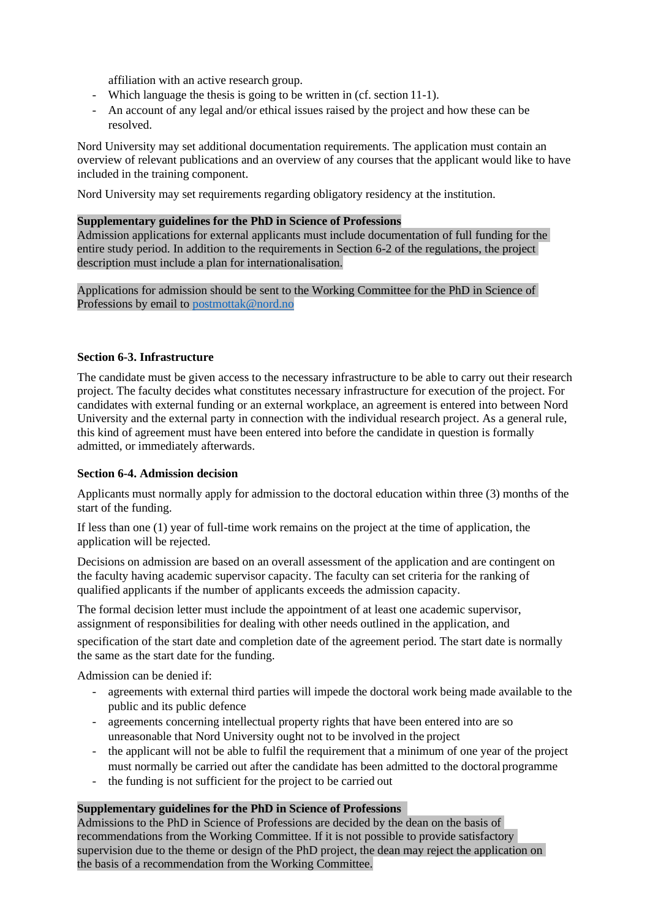affiliation with an active research group.

- Which language the thesis is going to be written in (cf. section 11-1).
- An account of any legal and/or ethical issues raised by the project and how these can be resolved.

Nord University may set additional documentation requirements. The application must contain an overview of relevant publications and an overview of any courses that the applicant would like to have included in the training component.

Nord University may set requirements regarding obligatory residency at the institution.

# **Supplementary guidelines for the PhD in Science of Professions**

Admission applications for external applicants must include documentation of full funding for the entire study period. In addition to the requirements in Section 6-2 of the regulations, the project description must include a plan for internationalisation.

Applications for admission should be sent to the Working Committee for the PhD in Science of Professions by email to postmottak@nord.no

# **Section 6-3. Infrastructure**

The candidate must be given access to the necessary infrastructure to be able to carry out their research project. The faculty decides what constitutes necessary infrastructure for execution of the project. For candidates with external funding or an external workplace, an agreement is entered into between Nord University and the external party in connection with the individual research project. As a general rule, this kind of agreement must have been entered into before the candidate in question is formally admitted, or immediately afterwards.

# **Section 6-4. Admission decision**

Applicants must normally apply for admission to the doctoral education within three (3) months of the start of the funding.

If less than one (1) year of full-time work remains on the project at the time of application, the application will be rejected.

Decisions on admission are based on an overall assessment of the application and are contingent on the faculty having academic supervisor capacity. The faculty can set criteria for the ranking of qualified applicants if the number of applicants exceeds the admission capacity.

The formal decision letter must include the appointment of at least one academic supervisor, assignment of responsibilities for dealing with other needs outlined in the application, and

specification of the start date and completion date of the agreement period. The start date is normally the same as the start date for the funding.

Admission can be denied if:

- agreements with external third parties will impede the doctoral work being made available to the public and its public defence
- agreements concerning intellectual property rights that have been entered into are so unreasonable that Nord University ought not to be involved in the project
- the applicant will not be able to fulfil the requirement that a minimum of one year of the project must normally be carried out after the candidate has been admitted to the doctoral programme
- the funding is not sufficient for the project to be carried out

# **Supplementary guidelines for the PhD in Science of Professions**

Admissions to the PhD in Science of Professions are decided by the dean on the basis of recommendations from the Working Committee. If it is not possible to provide satisfactory supervision due to the theme or design of the PhD project, the dean may reject the application on the basis of a recommendation from the Working Committee.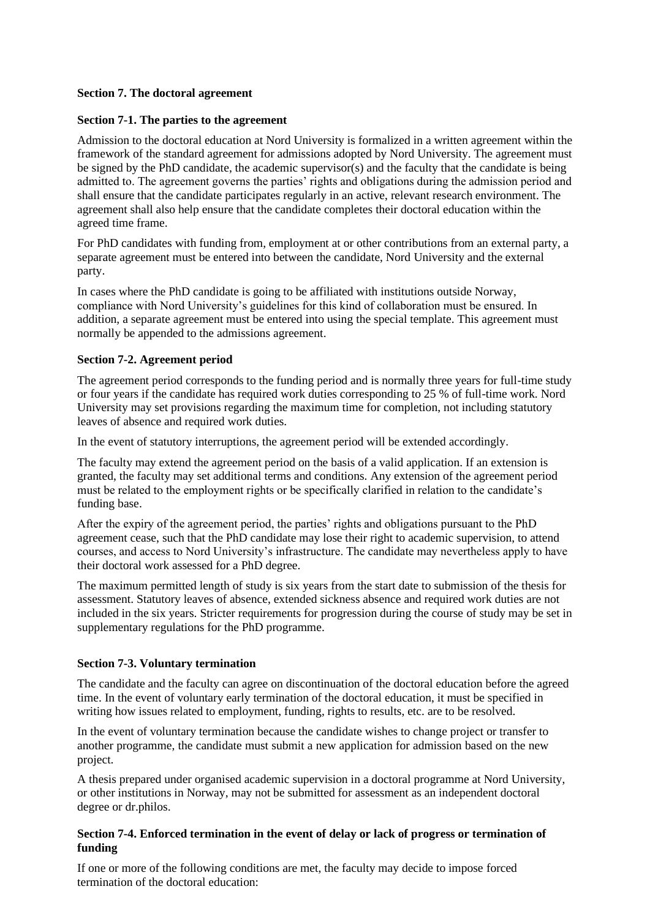# **Section 7. The doctoral agreement**

# **Section 7-1. The parties to the agreement**

Admission to the doctoral education at Nord University is formalized in a written agreement within the framework of the standard agreement for admissions adopted by Nord University. The agreement must be signed by the PhD candidate, the academic supervisor(s) and the faculty that the candidate is being admitted to. The agreement governs the parties' rights and obligations during the admission period and shall ensure that the candidate participates regularly in an active, relevant research environment. The agreement shall also help ensure that the candidate completes their doctoral education within the agreed time frame.

For PhD candidates with funding from, employment at or other contributions from an external party, a separate agreement must be entered into between the candidate, Nord University and the external party.

In cases where the PhD candidate is going to be affiliated with institutions outside Norway, compliance with Nord University's guidelines for this kind of collaboration must be ensured. In addition, a separate agreement must be entered into using the special template. This agreement must normally be appended to the admissions agreement.

# **Section 7-2. Agreement period**

The agreement period corresponds to the funding period and is normally three years for full-time study or four years if the candidate has required work duties corresponding to 25 % of full-time work. Nord University may set provisions regarding the maximum time for completion, not including statutory leaves of absence and required work duties.

In the event of statutory interruptions, the agreement period will be extended accordingly.

The faculty may extend the agreement period on the basis of a valid application. If an extension is granted, the faculty may set additional terms and conditions. Any extension of the agreement period must be related to the employment rights or be specifically clarified in relation to the candidate's funding base.

After the expiry of the agreement period, the parties' rights and obligations pursuant to the PhD agreement cease, such that the PhD candidate may lose their right to academic supervision, to attend courses, and access to Nord University's infrastructure. The candidate may nevertheless apply to have their doctoral work assessed for a PhD degree.

The maximum permitted length of study is six years from the start date to submission of the thesis for assessment. Statutory leaves of absence, extended sickness absence and required work duties are not included in the six years. Stricter requirements for progression during the course of study may be set in supplementary regulations for the PhD programme.

# **Section 7-3. Voluntary termination**

The candidate and the faculty can agree on discontinuation of the doctoral education before the agreed time. In the event of voluntary early termination of the doctoral education, it must be specified in writing how issues related to employment, funding, rights to results, etc. are to be resolved.

In the event of voluntary termination because the candidate wishes to change project or transfer to another programme, the candidate must submit a new application for admission based on the new project.

A thesis prepared under organised academic supervision in a doctoral programme at Nord University, or other institutions in Norway, may not be submitted for assessment as an independent doctoral degree or dr.philos.

# **Section 7-4. Enforced termination in the event of delay or lack of progress or termination of funding**

If one or more of the following conditions are met, the faculty may decide to impose forced termination of the doctoral education: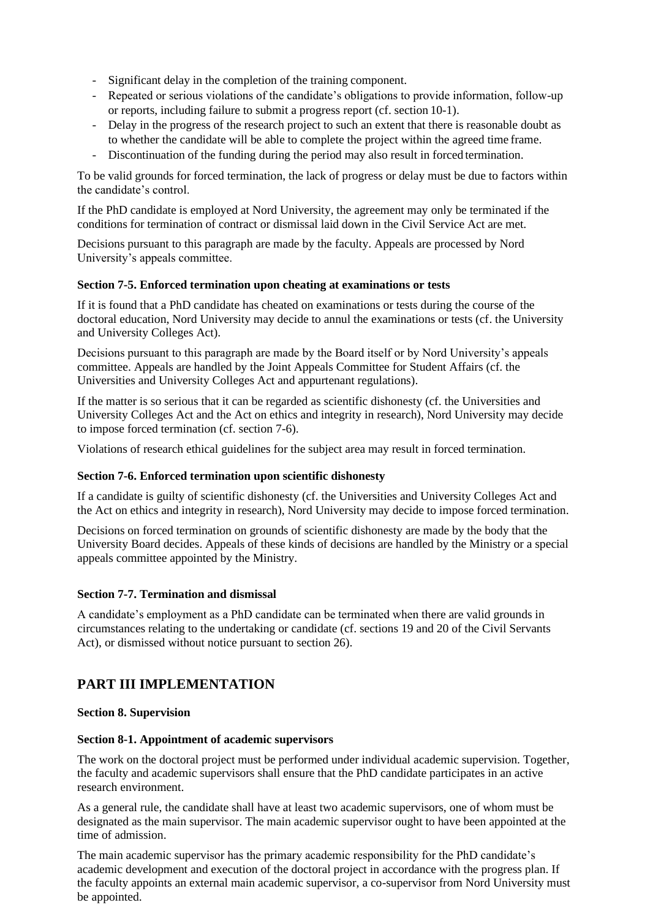- Significant delay in the completion of the training component.
- Repeated or serious violations of the candidate's obligations to provide information, follow-up or reports, including failure to submit a progress report (cf. section 10-1).
- Delay in the progress of the research project to such an extent that there is reasonable doubt as to whether the candidate will be able to complete the project within the agreed time frame.
- Discontinuation of the funding during the period may also result in forced termination.

To be valid grounds for forced termination, the lack of progress or delay must be due to factors within the candidate's control.

If the PhD candidate is employed at Nord University, the agreement may only be terminated if the conditions for termination of contract or dismissal laid down in the Civil Service Act are met.

Decisions pursuant to this paragraph are made by the faculty. Appeals are processed by Nord University's appeals committee.

# **Section 7-5. Enforced termination upon cheating at examinations or tests**

If it is found that a PhD candidate has cheated on examinations or tests during the course of the doctoral education, Nord University may decide to annul the examinations or tests (cf. the University and University Colleges Act).

Decisions pursuant to this paragraph are made by the Board itself or by Nord University's appeals committee. Appeals are handled by the Joint Appeals Committee for Student Affairs (cf. the Universities and University Colleges Act and appurtenant regulations).

If the matter is so serious that it can be regarded as scientific dishonesty (cf. the Universities and University Colleges Act and the Act on ethics and integrity in research), Nord University may decide to impose forced termination (cf. section 7-6).

Violations of research ethical guidelines for the subject area may result in forced termination.

# **Section 7-6. Enforced termination upon scientific dishonesty**

If a candidate is guilty of scientific dishonesty (cf. the Universities and University Colleges Act and the Act on ethics and integrity in research), Nord University may decide to impose forced termination.

Decisions on forced termination on grounds of scientific dishonesty are made by the body that the University Board decides. Appeals of these kinds of decisions are handled by the Ministry or a special appeals committee appointed by the Ministry.

# **Section 7-7. Termination and dismissal**

A candidate's employment as a PhD candidate can be terminated when there are valid grounds in circumstances relating to the undertaking or candidate (cf. sections 19 and 20 of the Civil Servants Act), or dismissed without notice pursuant to section 26).

# **PART III IMPLEMENTATION**

# **Section 8. Supervision**

# **Section 8-1. Appointment of academic supervisors**

The work on the doctoral project must be performed under individual academic supervision. Together, the faculty and academic supervisors shall ensure that the PhD candidate participates in an active research environment.

As a general rule, the candidate shall have at least two academic supervisors, one of whom must be designated as the main supervisor. The main academic supervisor ought to have been appointed at the time of admission.

The main academic supervisor has the primary academic responsibility for the PhD candidate's academic development and execution of the doctoral project in accordance with the progress plan. If the faculty appoints an external main academic supervisor, a co-supervisor from Nord University must be appointed.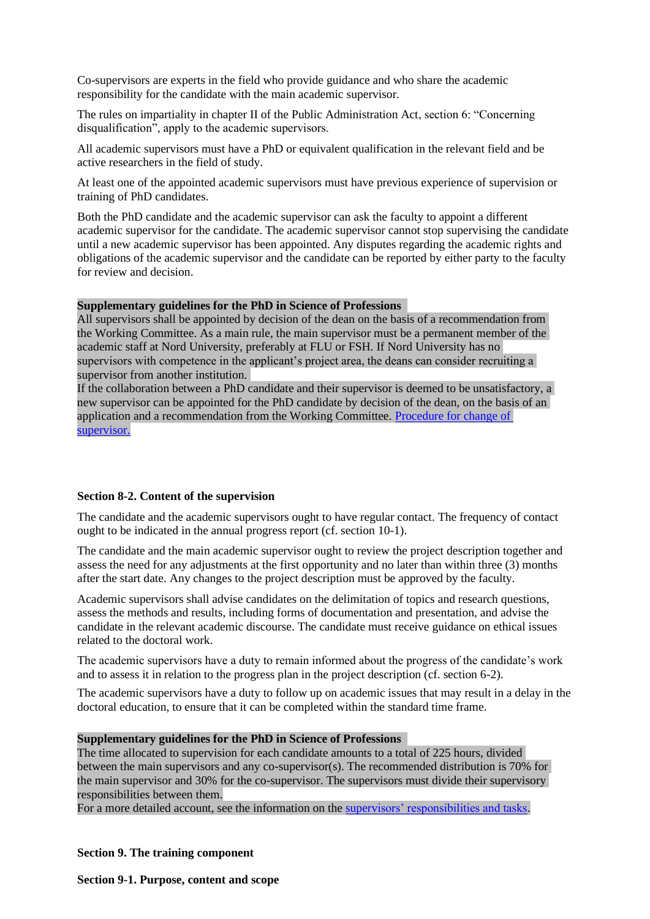Co-supervisors are experts in the field who provide guidance and who share the academic responsibility for the candidate with the main academic supervisor.

The rules on impartiality in chapter II of the Public Administration Act, section 6: "Concerning disqualification", apply to the academic supervisors.

All academic supervisors must have a PhD or equivalent qualification in the relevant field and be active researchers in the field of study.

At least one of the appointed academic supervisors must have previous experience of supervision or training of PhD candidates.

Both the PhD candidate and the academic supervisor can ask the faculty to appoint a different academic supervisor for the candidate. The academic supervisor cannot stop supervising the candidate until a new academic supervisor has been appointed. Any disputes regarding the academic rights and obligations of the academic supervisor and the candidate can be reported by either party to the faculty for review and decision.

### **Supplementary guidelines for the PhD in Science of Professions**

All supervisors shall be appointed by decision of the dean on the basis of a recommendation from the Working Committee. As a main rule, the main supervisor must be a permanent member of the academic staff at Nord University, preferably at FLU or FSH. If Nord University has no supervisors with competence in the applicant's project area, the deans can consider recruiting a supervisor from another institution.

If the collaboration between a PhD candidate and their supervisor is deemed to be unsatisfactory, a new supervisor can be appointed for the PhD candidate by decision of the dean, on the basis of an application and a recommendation from the Working Committee. [Procedure for change of](https://www.nord.no/no/studier/Documents/Proscedure_for_change_of_supervisor-DRGPR.pdf)  [supervisor.](https://www.nord.no/no/studier/Documents/Proscedure_for_change_of_supervisor-DRGPR.pdf)

# **Section 8-2. Content of the supervision**

The candidate and the academic supervisors ought to have regular contact. The frequency of contact ought to be indicated in the annual progress report (cf. section 10-1).

The candidate and the main academic supervisor ought to review the project description together and assess the need for any adjustments at the first opportunity and no later than within three (3) months after the start date. Any changes to the project description must be approved by the faculty.

Academic supervisors shall advise candidates on the delimitation of topics and research questions, assess the methods and results, including forms of documentation and presentation, and advise the candidate in the relevant academic discourse. The candidate must receive guidance on ethical issues related to the doctoral work.

The academic supervisors have a duty to remain informed about the progress of the candidate's work and to assess it in relation to the progress plan in the project description (cf. section 6-2).

The academic supervisors have a duty to follow up on academic issues that may result in a delay in the doctoral education, to ensure that it can be completed within the standard time frame.

#### **Supplementary guidelines for the PhD in Science of Professions**

The time allocated to supervision for each candidate amounts to a total of 225 hours, divided between the main supervisors and any co-supervisor(s). The recommended distribution is 70% for the main supervisor and 30% for the co-supervisor. The supervisors must divide their supervisory responsibilities between them.

For [a](https://www.nord.no/no/studier/Documents/Veileders_ansvar_og_oppgaver.pdf) more detailed account, see the information on the [supervisors' responsibilities and tasks](https://www.nord.no/no/studier/Documents/Supervisors_responsibilities_and_tasks-DRGPR.pdf)[.](https://www.nord.no/no/studier/Documents/Veileders_ansvar_og_oppgaver.pdf)

# **Section 9. The training component**

**Section 9-1. Purpose, content and scope**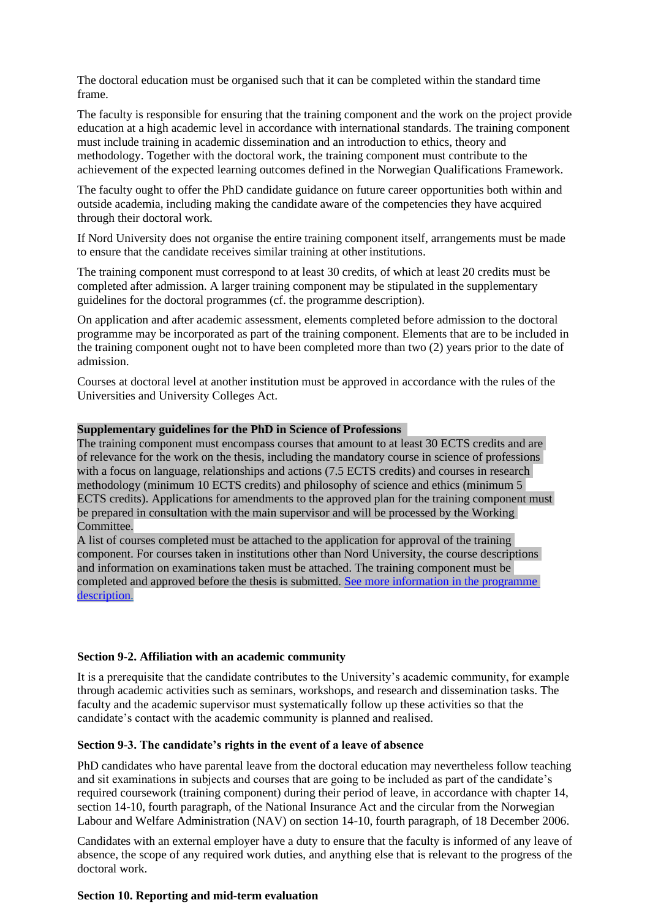The doctoral education must be organised such that it can be completed within the standard time frame.

The faculty is responsible for ensuring that the training component and the work on the project provide education at a high academic level in accordance with international standards. The training component must include training in academic dissemination and an introduction to ethics, theory and methodology. Together with the doctoral work, the training component must contribute to the achievement of the expected learning outcomes defined in the Norwegian Qualifications Framework.

The faculty ought to offer the PhD candidate guidance on future career opportunities both within and outside academia, including making the candidate aware of the competencies they have acquired through their doctoral work.

If Nord University does not organise the entire training component itself, arrangements must be made to ensure that the candidate receives similar training at other institutions.

The training component must correspond to at least 30 credits, of which at least 20 credits must be completed after admission. A larger training component may be stipulated in the supplementary guidelines for the doctoral programmes (cf. the programme description).

On application and after academic assessment, elements completed before admission to the doctoral programme may be incorporated as part of the training component. Elements that are to be included in the training component ought not to have been completed more than two (2) years prior to the date of admission.

Courses at doctoral level at another institution must be approved in accordance with the rules of the Universities and University Colleges Act.

### **Supplementary guidelines for the PhD in Science of Professions**

The training component must encompass courses that amount to at least 30 ECTS credits and are of relevance for the work on the thesis, including the mandatory course in science of professions with a focus on language, relationships and actions (7.5 ECTS credits) and courses in research methodology (minimum 10 ECTS credits) and philosophy of science and ethics (minimum 5 ECTS credits). Applications for amendments to the approved plan for the training component must be prepared in consultation with the main supervisor and will be processed by the Working Committee.

A list of courses completed must be attached to the application for approval of the training component. For courses taken in institutions other than Nord University, the course descriptions and information on examinations taken must be attached. The training component must be completed and approved before the thesis is submitted. [See more information in the programme](https://www.nord.no/no/studier/Documents/Programme_description-PhD_in_Science_of_Professions-DRGPR.pdf)  [description.](https://www.nord.no/no/studier/Documents/Programme_description-PhD_in_Science_of_Professions-DRGPR.pdf)

### **Section 9-2. Affiliation with an academic community**

It is a prerequisite that the candidate contributes to the University's academic community, for example through academic activities such as seminars, workshops, and research and dissemination tasks. The faculty and the academic supervisor must systematically follow up these activities so that the candidate's contact with the academic community is planned and realised.

# **Section 9-3. The candidate's rights in the event of a leave of absence**

PhD candidates who have parental leave from the doctoral education may nevertheless follow teaching and sit examinations in subjects and courses that are going to be included as part of the candidate's required coursework (training component) during their period of leave, in accordance with chapter 14, section 14-10, fourth paragraph, of the National Insurance Act and the circular from the Norwegian Labour and Welfare Administration (NAV) on section 14-10, fourth paragraph, of 18 December 2006.

Candidates with an external employer have a duty to ensure that the faculty is informed of any leave of absence, the scope of any required work duties, and anything else that is relevant to the progress of the doctoral work.

#### **Section 10. Reporting and mid-term evaluation**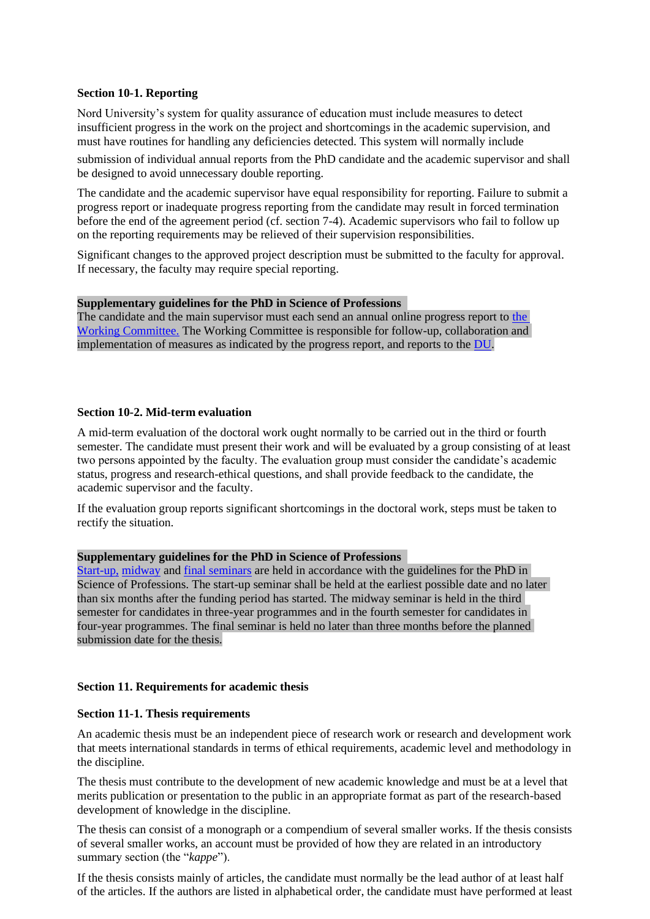### **Section 10-1. Reporting**

Nord University's system for quality assurance of education must include measures to detect insufficient progress in the work on the project and shortcomings in the academic supervision, and must have routines for handling any deficiencies detected. This system will normally include

submission of individual annual reports from the PhD candidate and the academic supervisor and shall be designed to avoid unnecessary double reporting.

The candidate and the academic supervisor have equal responsibility for reporting. Failure to submit a progress report or inadequate progress reporting from the candidate may result in forced termination before the end of the agreement period (cf. section 7-4). Academic supervisors who fail to follow up on the reporting requirements may be relieved of their supervision responsibilities.

Significant changes to the approved project description must be submitted to the faculty for approval. If necessary, the faculty may require special reporting.

#### **Supplementary guidelines for the PhD in Science of Professions**

The candidate and the main supervisor must each send an annual online progress report to [the](https://www.nord.no/no/studier/Documents/Mandate_for_the_Working_Committee-PhD_in_Science_of_Professions.pdf)  [Working Committee.](https://www.nord.no/no/studier/Documents/Mandate_for_the_Working_Committee-PhD_in_Science_of_Professions.pdf) The Working Committee is responsible for follow-up, collaboration and implementation of measures as indicated by the progress report, and reports to the [DU.](https://www.nord.no/no/studier/Documents/Mandate_for_the_Doctoral_Committee-PhD_degree_in_Science_of_Professions.pdf)

### **Section 10-2. Mid-term evaluation**

A mid-term evaluation of the doctoral work ought normally to be carried out in the third or fourth semester. The candidate must present their work and will be evaluated by a group consisting of at least two persons appointed by the faculty. The evaluation group must consider the candidate's academic status, progress and research-ethical questions, and shall provide feedback to the candidate, the academic supervisor and the faculty.

If the evaluation group reports significant shortcomings in the doctoral work, steps must be taken to rectify the situation.

#### **Supplementary guidelines for the PhD in Science of Professions**

[Start-up,](https://www.nord.no/no/studier/Documents/Guidelines_for_the_start-up,_midway_and_final_seminar.pdf) [midway](https://www.nord.no/no/studier/Documents/Guidelines_for_the_start-up,_midway_and_final_seminar.pdf) and [final seminars](https://www.nord.no/no/studier/Documents/Guidelines_for_the_start-up,_midway_and_final_seminar.pdf) are held in accordance with the guidelines for the PhD in Science of Professions. The start-up seminar shall be held at the earliest possible date and no later than six months after the funding period has started. The midway seminar is held in the third semester for candidates in three-year programmes and in the fourth semester for candidates in four-year programmes. The final seminar is held no later than three months before the planned submission date for the thesis.

#### **Section 11. Requirements for academic thesis**

#### **Section 11-1. Thesis requirements**

An academic thesis must be an independent piece of research work or research and development work that meets international standards in terms of ethical requirements, academic level and methodology in the discipline.

The thesis must contribute to the development of new academic knowledge and must be at a level that merits publication or presentation to the public in an appropriate format as part of the research-based development of knowledge in the discipline.

The thesis can consist of a monograph or a compendium of several smaller works. If the thesis consists of several smaller works, an account must be provided of how they are related in an introductory summary section (the "*kappe*").

If the thesis consists mainly of articles, the candidate must normally be the lead author of at least half of the articles. If the authors are listed in alphabetical order, the candidate must have performed at least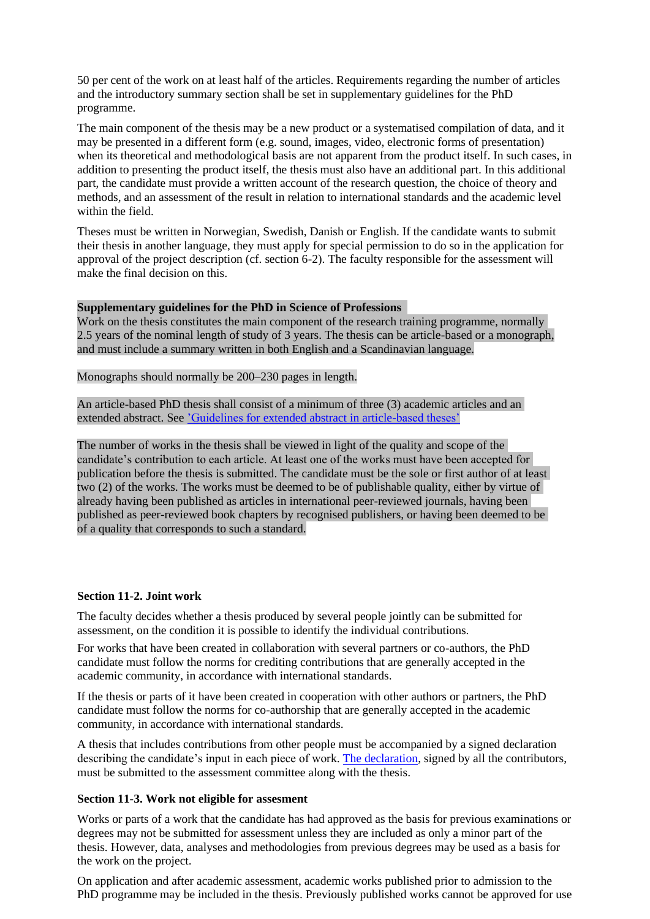50 per cent of the work on at least half of the articles. Requirements regarding the number of articles and the introductory summary section shall be set in supplementary guidelines for the PhD programme.

The main component of the thesis may be a new product or a systematised compilation of data, and it may be presented in a different form (e.g. sound, images, video, electronic forms of presentation) when its theoretical and methodological basis are not apparent from the product itself. In such cases, in addition to presenting the product itself, the thesis must also have an additional part. In this additional part, the candidate must provide a written account of the research question, the choice of theory and methods, and an assessment of the result in relation to international standards and the academic level within the field.

Theses must be written in Norwegian, Swedish, Danish or English. If the candidate wants to submit their thesis in another language, they must apply for special permission to do so in the application for approval of the project description (cf. section 6-2). The faculty responsible for the assessment will make the final decision on this.

### **Supplementary guidelines for the PhD in Science of Professions**

Work on the thesis constitutes the main component of the research training programme, normally 2.5 years of the nominal length of study of 3 years. The thesis can be article-based or a monograph, and must include a summary written in both English and a Scandinavian language.

Monographs should normally be 200–230 pages in length.

An article-based PhD thesis shall consist of a minimum of three (3) academic articles and an extended abstract. See ['Guidelines for extended abstract in article-based theses'](https://www.nord.no/no/studier/Documents/Guidelines_for_extended_abstract_in_article-based_theses_DRGPR.pdf)

The number of works in the thesis shall be viewed in light of the quality and scope of the candidate's contribution to each article. At least one of the works must have been accepted for publication before the thesis is submitted. The candidate must be the sole or first author of at least two (2) of the works. The works must be deemed to be of publishable quality, either by virtue of already having been published as articles in international peer-reviewed journals, having been published as peer-reviewed book chapters by recognised publishers, or having been deemed to be of a quality that corresponds to such a standard.

### **Section 11-2. Joint work**

The faculty decides whether a thesis produced by several people jointly can be submitted for assessment, on the condition it is possible to identify the individual contributions.

For works that have been created in collaboration with several partners or co-authors, the PhD candidate must follow the norms for crediting contributions that are generally accepted in the academic community, in accordance with international standards.

If the thesis or parts of it have been created in cooperation with other authors or partners, the PhD candidate must follow the norms for co-authorship that are generally accepted in the academic community, in accordance with international standards.

A thesis that includes contributions from other people must be accompanied by a signed declaration describing the candidate's input in each piece of work. [The declaration,](https://www.nord.no/no/studier/Documents/Declaration_of_co-authorship_for_papers_incorporated_in_thesis_DRGPR.pdf) signed by all the contributors, must be submitted to the assessment committee along with the thesis.

#### **Section 11-3. Work not eligible for assesment**

Works or parts of a work that the candidate has had approved as the basis for previous examinations or degrees may not be submitted for assessment unless they are included as only a minor part of the thesis. However, data, analyses and methodologies from previous degrees may be used as a basis for the work on the project.

On application and after academic assessment, academic works published prior to admission to the PhD programme may be included in the thesis. Previously published works cannot be approved for use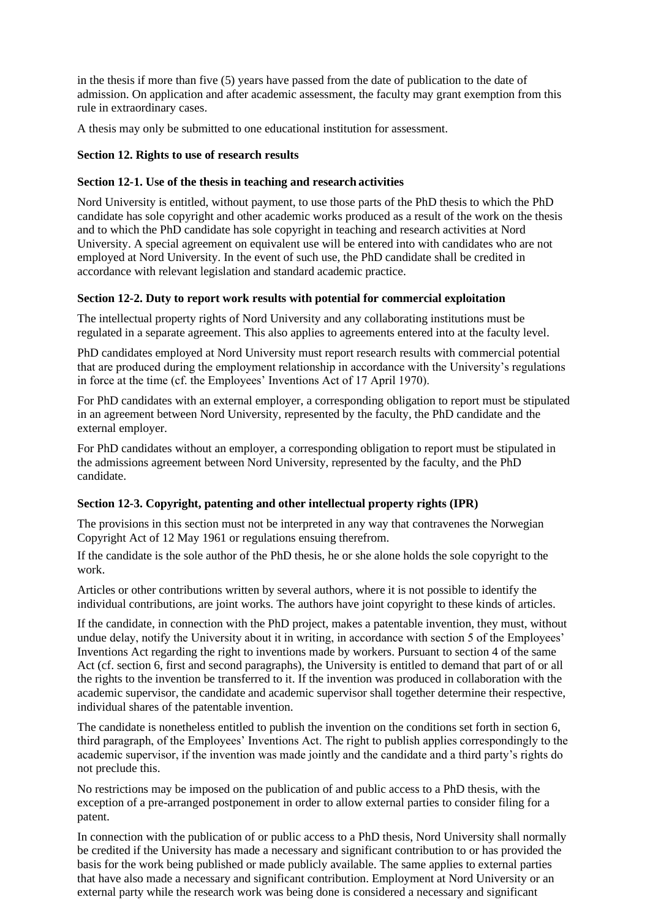in the thesis if more than five (5) years have passed from the date of publication to the date of admission. On application and after academic assessment, the faculty may grant exemption from this rule in extraordinary cases.

A thesis may only be submitted to one educational institution for assessment.

# **Section 12. Rights to use of research results**

# **Section 12-1. Use of the thesis in teaching and research activities**

Nord University is entitled, without payment, to use those parts of the PhD thesis to which the PhD candidate has sole copyright and other academic works produced as a result of the work on the thesis and to which the PhD candidate has sole copyright in teaching and research activities at Nord University. A special agreement on equivalent use will be entered into with candidates who are not employed at Nord University. In the event of such use, the PhD candidate shall be credited in accordance with relevant legislation and standard academic practice.

# **Section 12-2. Duty to report work results with potential for commercial exploitation**

The intellectual property rights of Nord University and any collaborating institutions must be regulated in a separate agreement. This also applies to agreements entered into at the faculty level.

PhD candidates employed at Nord University must report research results with commercial potential that are produced during the employment relationship in accordance with the University's regulations in force at the time (cf. the Employees' Inventions Act of 17 April 1970).

For PhD candidates with an external employer, a corresponding obligation to report must be stipulated in an agreement between Nord University, represented by the faculty, the PhD candidate and the external employer.

For PhD candidates without an employer, a corresponding obligation to report must be stipulated in the admissions agreement between Nord University, represented by the faculty, and the PhD candidate.

# **Section 12-3. Copyright, patenting and other intellectual property rights (IPR)**

The provisions in this section must not be interpreted in any way that contravenes the Norwegian Copyright Act of 12 May 1961 or regulations ensuing therefrom.

If the candidate is the sole author of the PhD thesis, he or she alone holds the sole copyright to the work.

Articles or other contributions written by several authors, where it is not possible to identify the individual contributions, are joint works. The authors have joint copyright to these kinds of articles.

If the candidate, in connection with the PhD project, makes a patentable invention, they must, without undue delay, notify the University about it in writing, in accordance with section 5 of the Employees' Inventions Act regarding the right to inventions made by workers. Pursuant to section 4 of the same Act (cf. section 6, first and second paragraphs), the University is entitled to demand that part of or all the rights to the invention be transferred to it. If the invention was produced in collaboration with the academic supervisor, the candidate and academic supervisor shall together determine their respective, individual shares of the patentable invention.

The candidate is nonetheless entitled to publish the invention on the conditions set forth in section 6, third paragraph, of the Employees' Inventions Act. The right to publish applies correspondingly to the academic supervisor, if the invention was made jointly and the candidate and a third party's rights do not preclude this.

No restrictions may be imposed on the publication of and public access to a PhD thesis, with the exception of a pre-arranged postponement in order to allow external parties to consider filing for a patent.

In connection with the publication of or public access to a PhD thesis, Nord University shall normally be credited if the University has made a necessary and significant contribution to or has provided the basis for the work being published or made publicly available. The same applies to external parties that have also made a necessary and significant contribution. Employment at Nord University or an external party while the research work was being done is considered a necessary and significant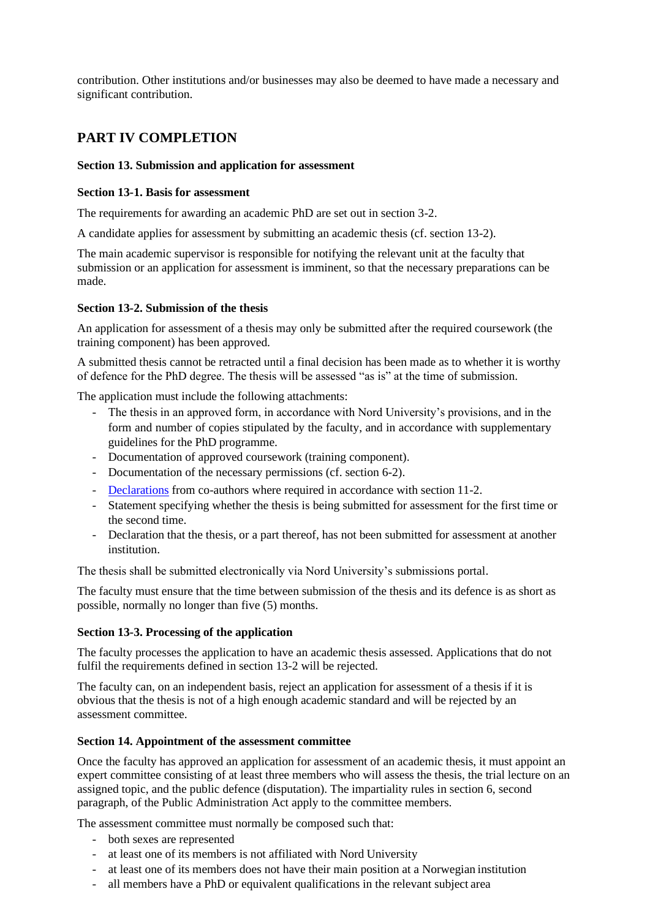contribution. Other institutions and/or businesses may also be deemed to have made a necessary and significant contribution.

# **PART IV COMPLETION**

# **Section 13. Submission and application for assessment**

# **Section 13-1. Basis for assessment**

The requirements for awarding an academic PhD are set out in section 3-2.

A candidate applies for assessment by submitting an academic thesis (cf. section 13-2).

The main academic supervisor is responsible for notifying the relevant unit at the faculty that submission or an application for assessment is imminent, so that the necessary preparations can be made.

# **Section 13-2. Submission of the thesis**

An application for assessment of a thesis may only be submitted after the required coursework (the training component) has been approved.

A submitted thesis cannot be retracted until a final decision has been made as to whether it is worthy of defence for the PhD degree. The thesis will be assessed "as is" at the time of submission.

The application must include the following attachments:

- The thesis in an approved form, in accordance with Nord University's provisions, and in the form and number of copies stipulated by the faculty, and in accordance with supplementary guidelines for the PhD programme.
- Documentation of approved coursework (training component).
- Documentation of the necessary permissions (cf. section 6-2).
- [Declarations](https://www.nord.no/no/studier/Documents/Declaration_of_co-authorship_for_papers_incorporated_in_thesis_DRGPR.pdf) from co-authors where required in accordance with section 11-2.
- Statement specifying whether the thesis is being submitted for assessment for the first time or the second time.
- Declaration that the thesis, or a part thereof, has not been submitted for assessment at another institution.

The thesis shall be submitted electronically via Nord University's submissions portal.

The faculty must ensure that the time between submission of the thesis and its defence is as short as possible, normally no longer than five (5) months.

# **Section 13-3. Processing of the application**

The faculty processes the application to have an academic thesis assessed. Applications that do not fulfil the requirements defined in section 13-2 will be rejected.

The faculty can, on an independent basis, reject an application for assessment of a thesis if it is obvious that the thesis is not of a high enough academic standard and will be rejected by an assessment committee.

# **Section 14. Appointment of the assessment committee**

Once the faculty has approved an application for assessment of an academic thesis, it must appoint an expert committee consisting of at least three members who will assess the thesis, the trial lecture on an assigned topic, and the public defence (disputation). The impartiality rules in section 6, second paragraph, of the Public Administration Act apply to the committee members.

The assessment committee must normally be composed such that:

- both sexes are represented
- at least one of its members is not affiliated with Nord University
- at least one of its members does not have their main position at a Norwegian institution
- all members have a PhD or equivalent qualifications in the relevant subject area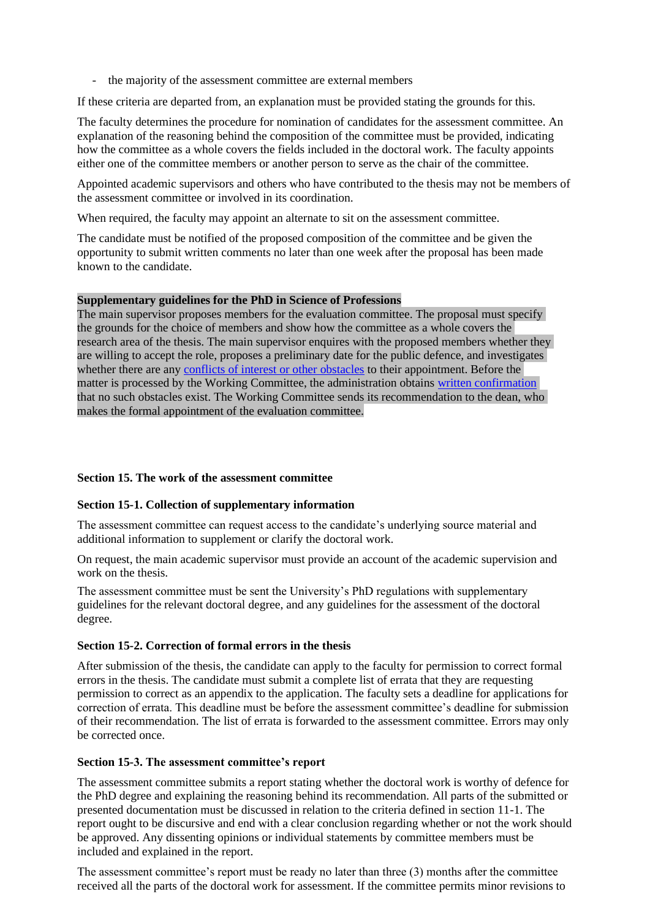- the majority of the assessment committee are external members

If these criteria are departed from, an explanation must be provided stating the grounds for this.

The faculty determines the procedure for nomination of candidates for the assessment committee. An explanation of the reasoning behind the composition of the committee must be provided, indicating how the committee as a whole covers the fields included in the doctoral work. The faculty appoints either one of the committee members or another person to serve as the chair of the committee.

Appointed academic supervisors and others who have contributed to the thesis may not be members of the assessment committee or involved in its coordination.

When required, the faculty may appoint an alternate to sit on the assessment committee.

The candidate must be notified of the proposed composition of the committee and be given the opportunity to submit written comments no later than one week after the proposal has been made known to the candidate.

### **Supplementary guidelines for the PhD in Science of Professions**

The main supervisor proposes members for the evaluation committee. The proposal must specify the grounds for the choice of members and show how the committee as a whole covers the research area of the thesis. The main supervisor enquires with the proposed members whether they are willing to accept the role, proposes a preliminary date for the public defence, and investigates whether there are any [conflicts of interest or other obstacles](https://www.nord.no/no/studier/Documents/Declaration_of_impartiality_regarding_PhD_dissertation.pdf) to their appointment. Before the matter is processed by the Working Committee, the administration obtains [written confirmation](https://www.nord.no/no/studier/Documents/Declaration_of_impartiality_regarding_PhD_dissertation.pdf) that no such obstacles exist. The Working Committee sends its recommendation to the dean, who makes the formal appointment of the evaluation committee.

# **Section 15. The work of the assessment committee**

# **Section 15-1. Collection of supplementary information**

The assessment committee can request access to the candidate's underlying source material and additional information to supplement or clarify the doctoral work.

On request, the main academic supervisor must provide an account of the academic supervision and work on the thesis.

The assessment committee must be sent the University's PhD regulations with supplementary guidelines for the relevant doctoral degree, and any guidelines for the assessment of the doctoral degree.

#### **Section 15-2. Correction of formal errors in the thesis**

After submission of the thesis, the candidate can apply to the faculty for permission to correct formal errors in the thesis. The candidate must submit a complete list of errata that they are requesting permission to correct as an appendix to the application. The faculty sets a deadline for applications for correction of errata. This deadline must be before the assessment committee's deadline for submission of their recommendation. The list of errata is forwarded to the assessment committee. Errors may only be corrected once.

#### **Section 15-3. The assessment committee's report**

The assessment committee submits a report stating whether the doctoral work is worthy of defence for the PhD degree and explaining the reasoning behind its recommendation. All parts of the submitted or presented documentation must be discussed in relation to the criteria defined in section 11-1. The report ought to be discursive and end with a clear conclusion regarding whether or not the work should be approved. Any dissenting opinions or individual statements by committee members must be included and explained in the report.

The assessment committee's report must be ready no later than three (3) months after the committee received all the parts of the doctoral work for assessment. If the committee permits minor revisions to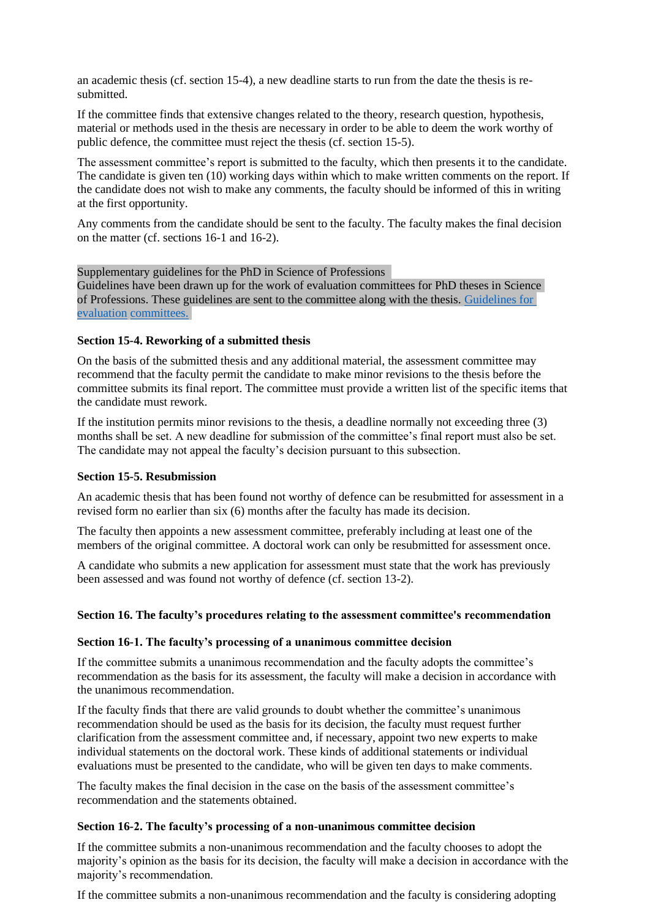an academic thesis (cf. section 15-4), a new deadline starts to run from the date the thesis is resubmitted.

If the committee finds that extensive changes related to the theory, research question, hypothesis, material or methods used in the thesis are necessary in order to be able to deem the work worthy of public defence, the committee must reject the thesis (cf. section 15-5).

The assessment committee's report is submitted to the faculty, which then presents it to the candidate. The candidate is given ten (10) working days within which to make written comments on the report. If the candidate does not wish to make any comments, the faculty should be informed of this in writing at the first opportunity.

Any comments from the candidate should be sent to the faculty. The faculty makes the final decision on the matter (cf. sections 16-1 and 16-2).

Supplementary guidelines for the PhD in Science of Professions Guidelines have been drawn up for the work of evaluation committees for PhD theses in Science of Professions. These guidelines are sent to the committee along with the thesis. [Guidelines for](https://www.nord.no/no/studier/Documents/Guidelines_for_evaluation_committees.pdf)  [evaluation](https://www.nord.no/no/studier/Documents/Guidelines_for_evaluation_committees.pdf) [committees.](https://www.nord.no/no/studier/Documents/Guidelines_for_evaluation_committees.pdf)

# **Section 15-4. Reworking of a submitted thesis**

On the basis of the submitted thesis and any additional material, the assessment committee may recommend that the faculty permit the candidate to make minor revisions to the thesis before the committee submits its final report. The committee must provide a written list of the specific items that the candidate must rework.

If the institution permits minor revisions to the thesis, a deadline normally not exceeding three (3) months shall be set. A new deadline for submission of the committee's final report must also be set. The candidate may not appeal the faculty's decision pursuant to this subsection.

# **Section 15-5. Resubmission**

An academic thesis that has been found not worthy of defence can be resubmitted for assessment in a revised form no earlier than six (6) months after the faculty has made its decision.

The faculty then appoints a new assessment committee, preferably including at least one of the members of the original committee. A doctoral work can only be resubmitted for assessment once.

A candidate who submits a new application for assessment must state that the work has previously been assessed and was found not worthy of defence (cf. section 13-2).

# **Section 16. The faculty's procedures relating to the assessment committee's recommendation**

# **Section 16-1. The faculty's processing of a unanimous committee decision**

If the committee submits a unanimous recommendation and the faculty adopts the committee's recommendation as the basis for its assessment, the faculty will make a decision in accordance with the unanimous recommendation.

If the faculty finds that there are valid grounds to doubt whether the committee's unanimous recommendation should be used as the basis for its decision, the faculty must request further clarification from the assessment committee and, if necessary, appoint two new experts to make individual statements on the doctoral work. These kinds of additional statements or individual evaluations must be presented to the candidate, who will be given ten days to make comments.

The faculty makes the final decision in the case on the basis of the assessment committee's recommendation and the statements obtained.

# **Section 16-2. The faculty's processing of a non-unanimous committee decision**

If the committee submits a non-unanimous recommendation and the faculty chooses to adopt the majority's opinion as the basis for its decision, the faculty will make a decision in accordance with the majority's recommendation.

If the committee submits a non-unanimous recommendation and the faculty is considering adopting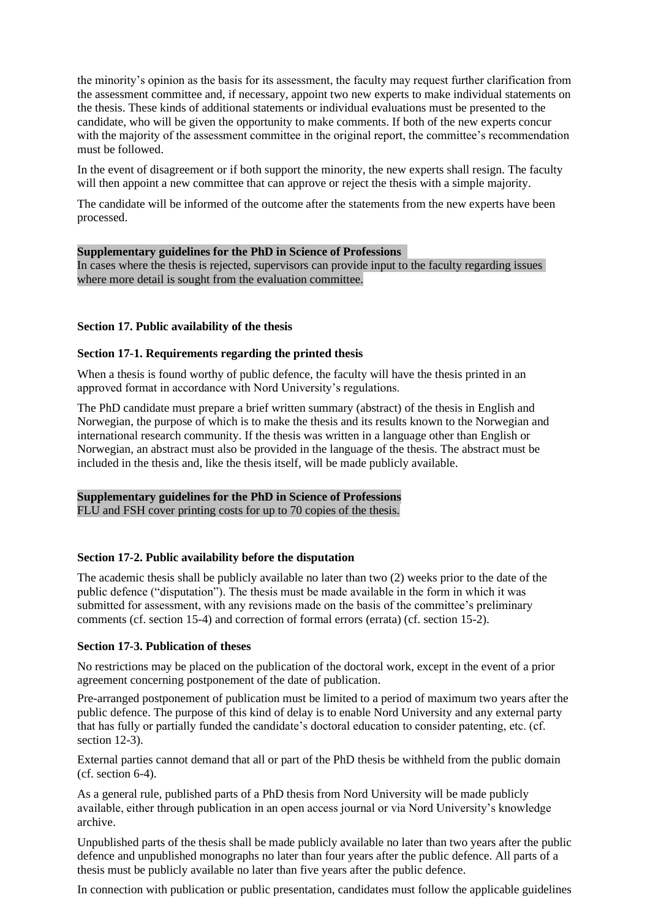the minority's opinion as the basis for its assessment, the faculty may request further clarification from the assessment committee and, if necessary, appoint two new experts to make individual statements on the thesis. These kinds of additional statements or individual evaluations must be presented to the candidate, who will be given the opportunity to make comments. If both of the new experts concur with the majority of the assessment committee in the original report, the committee's recommendation must be followed.

In the event of disagreement or if both support the minority, the new experts shall resign. The faculty will then appoint a new committee that can approve or reject the thesis with a simple majority.

The candidate will be informed of the outcome after the statements from the new experts have been processed.

### **Supplementary guidelines for the PhD in Science of Professions**

In cases where the thesis is rejected, supervisors can provide input to the faculty regarding issues where more detail is sought from the evaluation committee.

# **Section 17. Public availability of the thesis**

### **Section 17-1. Requirements regarding the printed thesis**

When a thesis is found worthy of public defence, the faculty will have the thesis printed in an approved format in accordance with Nord University's regulations.

The PhD candidate must prepare a brief written summary (abstract) of the thesis in English and Norwegian, the purpose of which is to make the thesis and its results known to the Norwegian and international research community. If the thesis was written in a language other than English or Norwegian, an abstract must also be provided in the language of the thesis. The abstract must be included in the thesis and, like the thesis itself, will be made publicly available.

# **Supplementary guidelines for the PhD in Science of Professions**

FLU and FSH cover printing costs for up to 70 copies of the thesis.

# **Section 17-2. Public availability before the disputation**

The academic thesis shall be publicly available no later than two (2) weeks prior to the date of the public defence ("disputation"). The thesis must be made available in the form in which it was submitted for assessment, with any revisions made on the basis of the committee's preliminary comments (cf. section 15-4) and correction of formal errors (errata) (cf. section 15-2).

#### **Section 17-3. Publication of theses**

No restrictions may be placed on the publication of the doctoral work, except in the event of a prior agreement concerning postponement of the date of publication.

Pre-arranged postponement of publication must be limited to a period of maximum two years after the public defence. The purpose of this kind of delay is to enable Nord University and any external party that has fully or partially funded the candidate's doctoral education to consider patenting, etc. (cf. section 12-3).

External parties cannot demand that all or part of the PhD thesis be withheld from the public domain (cf. section 6-4).

As a general rule, published parts of a PhD thesis from Nord University will be made publicly available, either through publication in an open access journal or via Nord University's knowledge archive.

Unpublished parts of the thesis shall be made publicly available no later than two years after the public defence and unpublished monographs no later than four years after the public defence. All parts of a thesis must be publicly available no later than five years after the public defence.

In connection with publication or public presentation, candidates must follow the applicable guidelines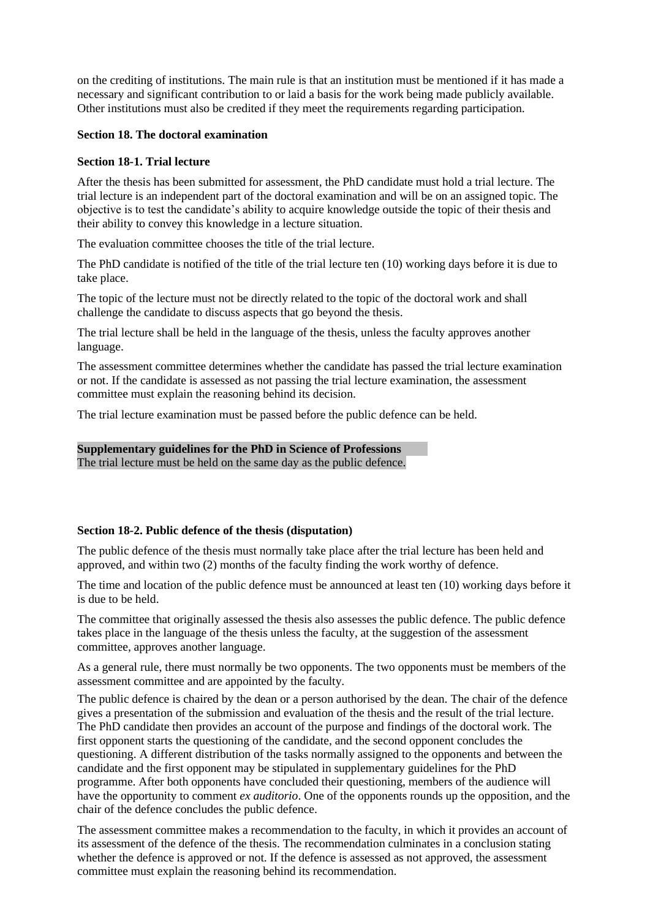on the crediting of institutions. The main rule is that an institution must be mentioned if it has made a necessary and significant contribution to or laid a basis for the work being made publicly available. Other institutions must also be credited if they meet the requirements regarding participation.

# **Section 18. The doctoral examination**

# **Section 18-1. Trial lecture**

After the thesis has been submitted for assessment, the PhD candidate must hold a trial lecture. The trial lecture is an independent part of the doctoral examination and will be on an assigned topic. The objective is to test the candidate's ability to acquire knowledge outside the topic of their thesis and their ability to convey this knowledge in a lecture situation.

The evaluation committee chooses the title of the trial lecture.

The PhD candidate is notified of the title of the trial lecture ten (10) working days before it is due to take place.

The topic of the lecture must not be directly related to the topic of the doctoral work and shall challenge the candidate to discuss aspects that go beyond the thesis.

The trial lecture shall be held in the language of the thesis, unless the faculty approves another language.

The assessment committee determines whether the candidate has passed the trial lecture examination or not. If the candidate is assessed as not passing the trial lecture examination, the assessment committee must explain the reasoning behind its decision.

The trial lecture examination must be passed before the public defence can be held.

### **Supplementary guidelines for the PhD in Science of Professions** The trial lecture must be held on the same day as the public defence.

# **Section 18-2. Public defence of the thesis (disputation)**

The public defence of the thesis must normally take place after the trial lecture has been held and approved, and within two (2) months of the faculty finding the work worthy of defence.

The time and location of the public defence must be announced at least ten (10) working days before it is due to be held.

The committee that originally assessed the thesis also assesses the public defence. The public defence takes place in the language of the thesis unless the faculty, at the suggestion of the assessment committee, approves another language.

As a general rule, there must normally be two opponents. The two opponents must be members of the assessment committee and are appointed by the faculty.

The public defence is chaired by the dean or a person authorised by the dean. The chair of the defence gives a presentation of the submission and evaluation of the thesis and the result of the trial lecture. The PhD candidate then provides an account of the purpose and findings of the doctoral work. The first opponent starts the questioning of the candidate, and the second opponent concludes the questioning. A different distribution of the tasks normally assigned to the opponents and between the candidate and the first opponent may be stipulated in supplementary guidelines for the PhD programme. After both opponents have concluded their questioning, members of the audience will have the opportunity to comment *ex auditorio*. One of the opponents rounds up the opposition, and the chair of the defence concludes the public defence.

The assessment committee makes a recommendation to the faculty, in which it provides an account of its assessment of the defence of the thesis. The recommendation culminates in a conclusion stating whether the defence is approved or not. If the defence is assessed as not approved, the assessment committee must explain the reasoning behind its recommendation.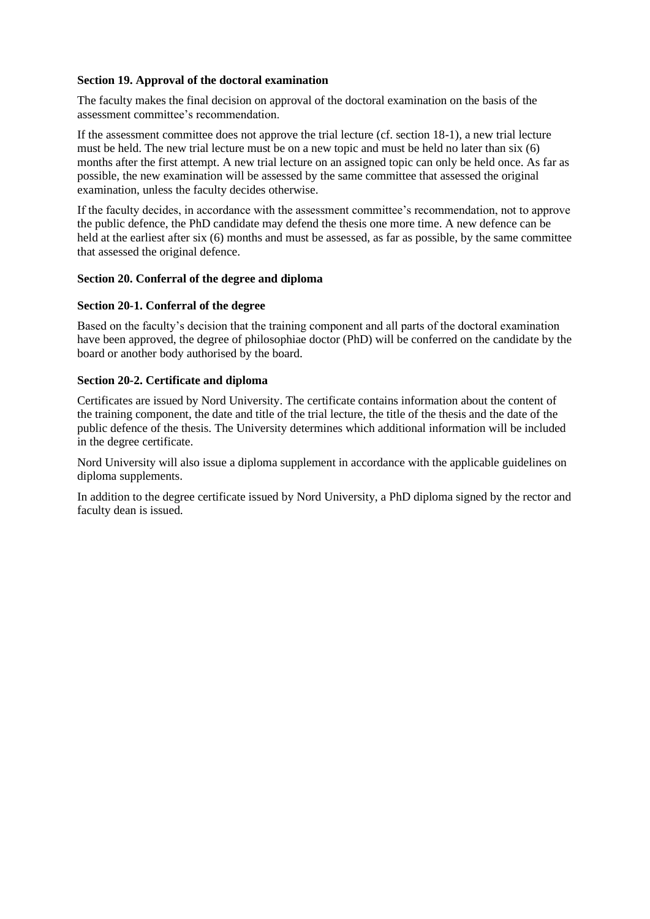# **Section 19. Approval of the doctoral examination**

The faculty makes the final decision on approval of the doctoral examination on the basis of the assessment committee's recommendation.

If the assessment committee does not approve the trial lecture (cf. section 18-1), a new trial lecture must be held. The new trial lecture must be on a new topic and must be held no later than six (6) months after the first attempt. A new trial lecture on an assigned topic can only be held once. As far as possible, the new examination will be assessed by the same committee that assessed the original examination, unless the faculty decides otherwise.

If the faculty decides, in accordance with the assessment committee's recommendation, not to approve the public defence, the PhD candidate may defend the thesis one more time. A new defence can be held at the earliest after six (6) months and must be assessed, as far as possible, by the same committee that assessed the original defence.

# **Section 20. Conferral of the degree and diploma**

# **Section 20-1. Conferral of the degree**

Based on the faculty's decision that the training component and all parts of the doctoral examination have been approved, the degree of philosophiae doctor (PhD) will be conferred on the candidate by the board or another body authorised by the board.

# **Section 20-2. Certificate and diploma**

Certificates are issued by Nord University. The certificate contains information about the content of the training component, the date and title of the trial lecture, the title of the thesis and the date of the public defence of the thesis. The University determines which additional information will be included in the degree certificate.

Nord University will also issue a diploma supplement in accordance with the applicable guidelines on diploma supplements.

In addition to the degree certificate issued by Nord University, a PhD diploma signed by the rector and faculty dean is issued.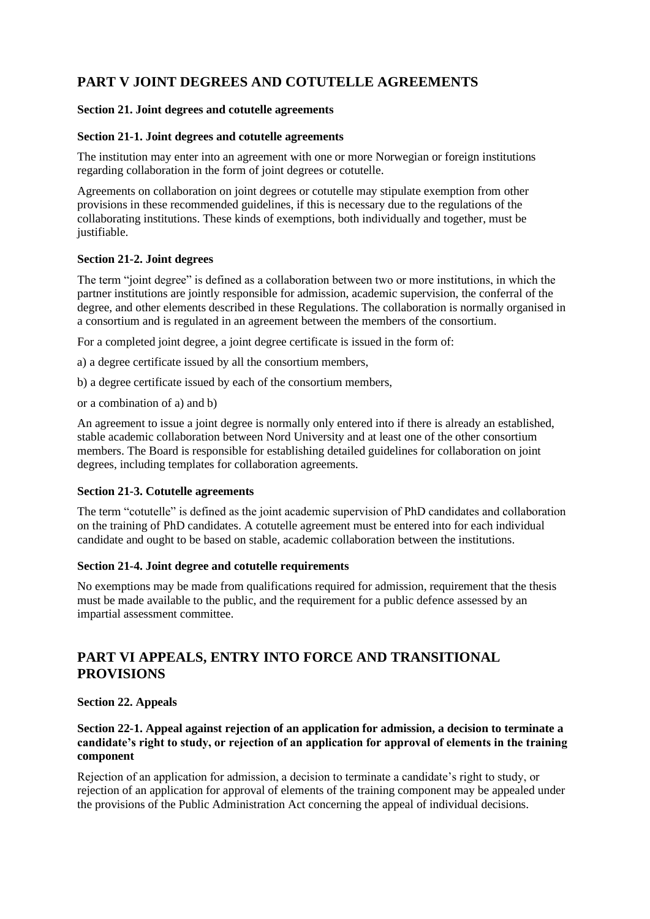# **PART V JOINT DEGREES AND COTUTELLE AGREEMENTS**

# **Section 21. Joint degrees and cotutelle agreements**

# **Section 21-1. Joint degrees and cotutelle agreements**

The institution may enter into an agreement with one or more Norwegian or foreign institutions regarding collaboration in the form of joint degrees or cotutelle.

Agreements on collaboration on joint degrees or cotutelle may stipulate exemption from other provisions in these recommended guidelines, if this is necessary due to the regulations of the collaborating institutions. These kinds of exemptions, both individually and together, must be justifiable.

# **Section 21-2. Joint degrees**

The term "joint degree" is defined as a collaboration between two or more institutions, in which the partner institutions are jointly responsible for admission, academic supervision, the conferral of the degree, and other elements described in these Regulations. The collaboration is normally organised in a consortium and is regulated in an agreement between the members of the consortium.

For a completed joint degree, a joint degree certificate is issued in the form of:

a) a degree certificate issued by all the consortium members,

b) a degree certificate issued by each of the consortium members,

or a combination of a) and b)

An agreement to issue a joint degree is normally only entered into if there is already an established, stable academic collaboration between Nord University and at least one of the other consortium members. The Board is responsible for establishing detailed guidelines for collaboration on joint degrees, including templates for collaboration agreements.

# **Section 21-3. Cotutelle agreements**

The term "cotutelle" is defined as the joint academic supervision of PhD candidates and collaboration on the training of PhD candidates. A cotutelle agreement must be entered into for each individual candidate and ought to be based on stable, academic collaboration between the institutions.

# **Section 21-4. Joint degree and cotutelle requirements**

No exemptions may be made from qualifications required for admission, requirement that the thesis must be made available to the public, and the requirement for a public defence assessed by an impartial assessment committee.

# **PART VI APPEALS, ENTRY INTO FORCE AND TRANSITIONAL PROVISIONS**

# **Section 22. Appeals**

# **Section 22-1. Appeal against rejection of an application for admission, a decision to terminate a candidate's right to study, or rejection of an application for approval of elements in the training component**

Rejection of an application for admission, a decision to terminate a candidate's right to study, or rejection of an application for approval of elements of the training component may be appealed under the provisions of the Public Administration Act concerning the appeal of individual decisions.